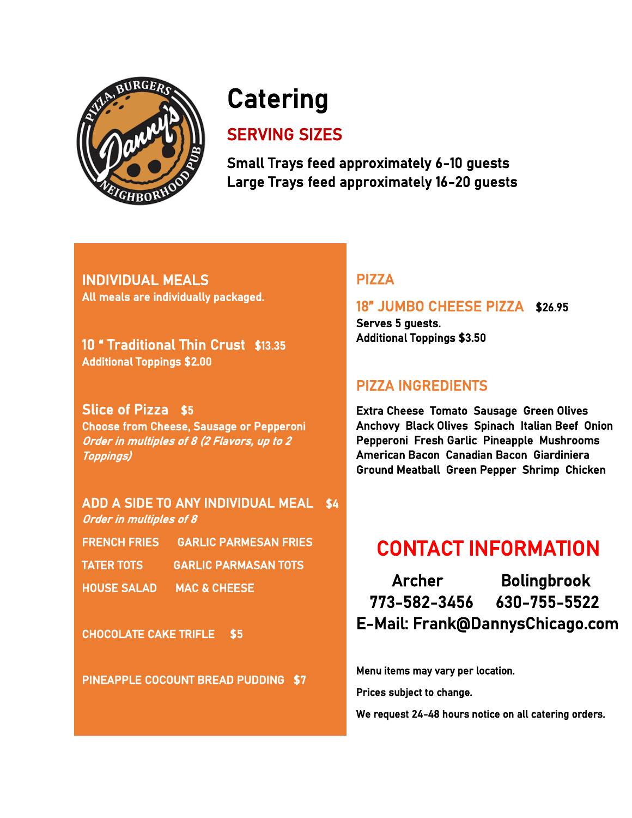

# **Catering**

# SERVING SIZES

Small Trays feed approximately 6-10 guests Large Trays feed approximately 16-20 guests

INDIVIDUAL MEALS All meals are individually packaged.

10 " Traditional Thin Crust \$13.35 Additional Toppings \$2.00

Slice of Pizza \$5 Choose from Cheese, Sausage or Pepperoni Order in multiples of 8 (2 Flavors, up to 2 Toppings)

ADD A SIDE TO ANY INDIVIDUAL MEAL \$4 Order in multiples of 8 FRENCH FRIES GARLIC PARMESAN FRIES

- TATER TOTS GARLIC PARMASAN TOTS
- HOUSE SALAD MAC & CHEESE

CHOCOLATE CAKE TRIFLE \$5

PINEAPPLE COCOUNT BREAD PUDDING \$7

# PIZZA

### 18" JUMBO CHEESE PIZZA \$26.95

Serves 5 guests. Additional Toppings \$3.50

# PIZZA INGREDIENTS

Extra Cheese Tomato Sausage Green Olives Anchovy Black Olives Spinach Italian Beef Onion Pepperoni Fresh Garlic Pineapple Mushrooms American Bacon Canadian Bacon Giardiniera Ground Meatball Green Pepper Shrimp Chicken

# CONTACT INFORMATION

 Archer Bolingbrook 773-582-3456 630-755-5522 E-Mail: Frank@DannysChicago.com

Menu items may vary per location.

Prices subject to change.

We request 24-48 hours notice on all catering orders.